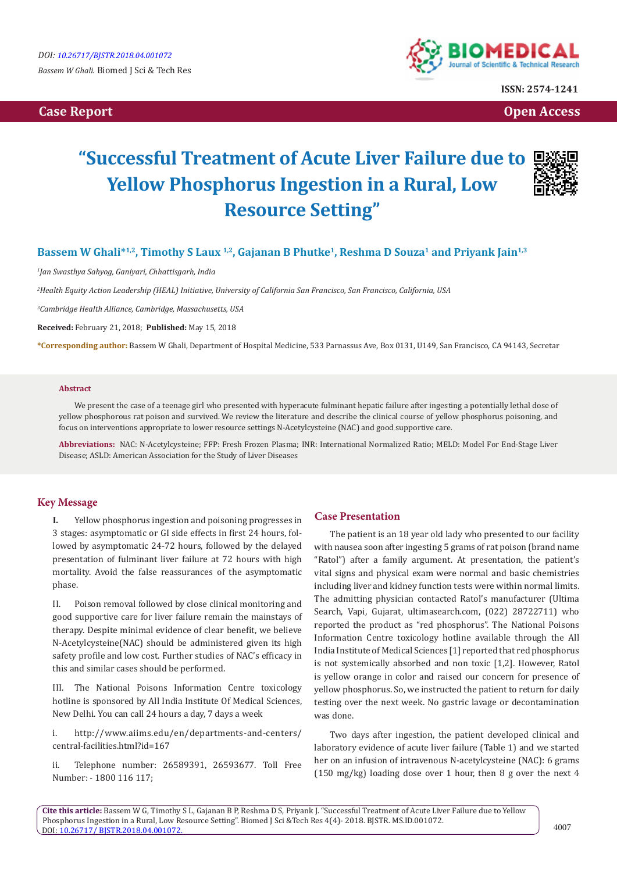**Case Report Case Report Case Access**  $\alpha$  **Case Report** Case **Open Access Open Access** 



**ISSN: 2574-1241**

# **"Successful Treatment of Acute Liver Failure due to Yellow Phosphorus Ingestion in a Rural, Low Resource Setting"**



### **Bassem W Ghali<sup>\*1,2</sup>, Timothy S Laux <sup>1,2</sup>, Gajanan B Phutke<sup>1</sup>, Reshma D Souza<sup>1</sup> and Priyank Jain<sup>1,3</sup>**

*1 Jan Swasthya Sahyog, Ganiyari, Chhattisgarh, India*

*2 Health Equity Action Leadership (HEAL) Initiative, University of California San Francisco, San Francisco, California, USA*

*3 Cambridge Health Alliance, Cambridge, Massachusetts, USA*

**Received:** February 21, 2018; **Published:** May 15, 2018

**\*Corresponding author:** Bassem W Ghali, Department of Hospital Medicine, 533 Parnassus Ave, Box 0131, U149, San Francisco, CA 94143, Secretar

#### **Abstract**

We present the case of a teenage girl who presented with hyperacute fulminant hepatic failure after ingesting a potentially lethal dose of yellow phosphorous rat poison and survived. We review the literature and describe the clinical course of yellow phosphorus poisoning, and focus on interventions appropriate to lower resource settings N-Acetylcysteine (NAC) and good supportive care.

**Abbreviations:** NAC: N-Acetylcysteine; FFP: Fresh Frozen Plasma; INR: International Normalized Ratio; MELD: Model For End-Stage Liver Disease; ASLD: American Association for the Study of Liver Diseases

#### **Key Message**

**I.** Yellow phosphorus ingestion and poisoning progresses in 3 stages: asymptomatic or GI side effects in first 24 hours, followed by asymptomatic 24-72 hours, followed by the delayed presentation of fulminant liver failure at 72 hours with high mortality. Avoid the false reassurances of the asymptomatic phase.

II. Poison removal followed by close clinical monitoring and good supportive care for liver failure remain the mainstays of therapy. Despite minimal evidence of clear benefit, we believe N-Acetylcysteine(NAC) should be administered given its high safety profile and low cost. Further studies of NAC's efficacy in this and similar cases should be performed.

III. The National Poisons Information Centre toxicology hotline is sponsored by All India Institute Of Medical Sciences, New Delhi. You can call 24 hours a day, 7 days a week

i. http://www.aiims.edu/en/departments-and-centers/ central-facilities.html?id=167

ii. Telephone number: 26589391, 26593677. Toll Free Number: - 1800 116 117;

#### **Case Presentation**

The patient is an 18 year old lady who presented to our facility with nausea soon after ingesting 5 grams of rat poison (brand name "Ratol") after a family argument. At presentation, the patient's vital signs and physical exam were normal and basic chemistries including liver and kidney function tests were within normal limits. The admitting physician contacted Ratol's manufacturer (Ultima Search, Vapi, Gujarat, ultimasearch.com, (022) 28722711) who reported the product as "red phosphorus". The National Poisons Information Centre toxicology hotline available through the All India Institute of Medical Sciences [1] reported that red phosphorus is not systemically absorbed and non toxic [1,2]. However, Ratol is yellow orange in color and raised our concern for presence of yellow phosphorus. So, we instructed the patient to return for daily testing over the next week. No gastric lavage or decontamination was done.

Two days after ingestion, the patient developed clinical and laboratory evidence of acute liver failure (Table 1) and we started her on an infusion of intravenous N-acetylcysteine (NAC): 6 grams (150 mg/kg) loading dose over 1 hour, then 8 g over the next 4

**Cite this article:** Bassem W G, Timothy S L, Gajanan B P, Reshma D S, Priyank J. "Successful Treatment of Acute Liver Failure due to Yellow Phosphorus Ingestion in a Rural, Low Resource Setting". Biomed J Sci &Tech Res 4(4)- 2018. BJSTR. MS.ID.001072. DOI: [10.26717/ BJSTR.2018.04.001072.](http://dx.doi.org/10.26717/BJSTR.2018.04.001072)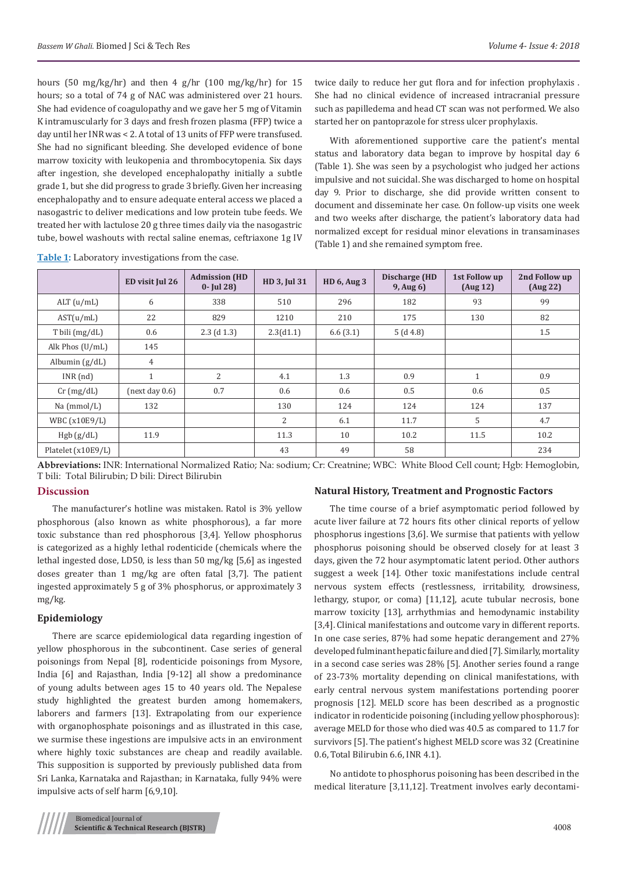hours (50 mg/kg/hr) and then 4 g/hr (100 mg/kg/hr) for 15 hours; so a total of 74 g of NAC was administered over 21 hours. She had evidence of coagulopathy and we gave her 5 mg of Vitamin K intramuscularly for 3 days and fresh frozen plasma (FFP) twice a day until her INR was < 2. A total of 13 units of FFP were transfused. She had no significant bleeding. She developed evidence of bone marrow toxicity with leukopenia and thrombocytopenia. Six days after ingestion, she developed encephalopathy initially a subtle grade 1, but she did progress to grade 3 briefly. Given her increasing encephalopathy and to ensure adequate enteral access we placed a nasogastric to deliver medications and low protein tube feeds. We treated her with lactulose 20 g three times daily via the nasogastric tube, bowel washouts with rectal saline enemas, ceftriaxone 1g IV

twice daily to reduce her gut flora and for infection prophylaxis . She had no clinical evidence of increased intracranial pressure such as papilledema and head CT scan was not performed. We also started her on pantoprazole for stress ulcer prophylaxis.

With aforementioned supportive care the patient's mental status and laboratory data began to improve by hospital day 6 (Table 1). She was seen by a psychologist who judged her actions impulsive and not suicidal. She was discharged to home on hospital day 9. Prior to discharge, she did provide written consent to document and disseminate her case. On follow-up visits one week and two weeks after discharge, the patient's laboratory data had normalized except for residual minor elevations in transaminases (Table 1) and she remained symptom free.

|                          | ED visit Jul 26 | <b>Admission (HD</b><br>$0 -$ [ul 28] | HD 3, Jul 31 | <b>HD 6, Aug 3</b> | <b>Discharge (HD</b><br>$9$ , Aug $6$ ) | 1st Follow up<br>(Aug 12) | 2nd Follow up<br>(Aug 22) |
|--------------------------|-----------------|---------------------------------------|--------------|--------------------|-----------------------------------------|---------------------------|---------------------------|
| $ALT$ ( $u/mL$ )         | 6               | 338                                   | 510          | 296                | 182                                     | 93                        | 99                        |
| AST(u/mL)                | 22              | 829                                   | 1210         | 210                | 175                                     | 130                       | 82                        |
| $T \text{ bili (mg/dL)}$ | 0.6             | $2.3$ (d 1.3)                         | 2.3(d1.1)    | 6.6(3.1)           | 5(d4.8)                                 |                           | 1.5                       |
| Alk Phos (U/mL)          | 145             |                                       |              |                    |                                         |                           |                           |
| Albumin $(g/dL)$         | 4               |                                       |              |                    |                                         |                           |                           |
| $INR$ (nd)               | $\mathbf{1}$    | $\overline{2}$                        | 4.1          | 1.3                | 0.9                                     | $\mathbf{1}$              | 0.9                       |
| $Cr$ (mg/dL)             | (next day 0.6)  | 0.7                                   | 0.6          | 0.6                | 0.5                                     | 0.6                       | 0.5                       |
| Na (mmol/L)              | 132             |                                       | 130          | 124                | 124                                     | 124                       | 137                       |
| WBC (x10E9/L)            |                 |                                       | 2            | 6.1                | 11.7                                    | 5                         | 4.7                       |
| Hgb(g/dL)                | 11.9            |                                       | 11.3         | 10                 | 10.2                                    | 11.5                      | 10.2                      |
| Platelet (x10E9/L)       |                 |                                       | 43           | 49                 | 58                                      |                           | 234                       |

**Table 1:** Laboratory investigations from the case.

**Abbreviations:** INR: International Normalized Ratio; Na: sodium; Cr: Creatnine; WBC: White Blood Cell count; Hgb: Hemoglobin, T bili: Total Bilirubin; D bili: Direct Bilirubin

#### **Discussion**

The manufacturer's hotline was mistaken. Ratol is 3% yellow phosphorous (also known as white phosphorous), a far more toxic substance than red phosphorous [3,4]. Yellow phosphorus is categorized as a highly lethal rodenticide (chemicals where the lethal ingested dose, LD50, is less than 50 mg/kg [5,6] as ingested doses greater than 1 mg/kg are often fatal [3,7]. The patient ingested approximately 5 g of 3% phosphorus, or approximately 3 mg/kg.

#### **Epidemiology**

There are scarce epidemiological data regarding ingestion of yellow phosphorous in the subcontinent. Case series of general poisonings from Nepal [8], rodenticide poisonings from Mysore, India [6] and Rajasthan, India [9-12] all show a predominance of young adults between ages 15 to 40 years old. The Nepalese study highlighted the greatest burden among homemakers, laborers and farmers [13]. Extrapolating from our experience with organophosphate poisonings and as illustrated in this case, we surmise these ingestions are impulsive acts in an environment where highly toxic substances are cheap and readily available. This supposition is supported by previously published data from Sri Lanka, Karnataka and Rajasthan; in Karnataka, fully 94% were impulsive acts of self harm [6,9,10].

#### **Natural History, Treatment and Prognostic Factors**

The time course of a brief asymptomatic period followed by acute liver failure at 72 hours fits other clinical reports of yellow phosphorus ingestions [3,6]. We surmise that patients with yellow phosphorus poisoning should be observed closely for at least 3 days, given the 72 hour asymptomatic latent period. Other authors suggest a week [14]. Other toxic manifestations include central nervous system effects (restlessness, irritability, drowsiness, lethargy, stupor, or coma) [11,12], acute tubular necrosis, bone marrow toxicity [13], arrhythmias and hemodynamic instability [3,4]. Clinical manifestations and outcome vary in different reports. In one case series, 87% had some hepatic derangement and 27% developed fulminant hepatic failure and died [7]. Similarly, mortality in a second case series was 28% [5]. Another series found a range of 23-73% mortality depending on clinical manifestations, with early central nervous system manifestations portending poorer prognosis [12]. MELD score has been described as a prognostic indicator in rodenticide poisoning (including yellow phosphorous): average MELD for those who died was 40.5 as compared to 11.7 for survivors [5]. The patient's highest MELD score was 32 (Creatinine 0.6, Total Bilirubin 6.6, INR 4.1).

No antidote to phosphorus poisoning has been described in the medical literature [3,11,12]. Treatment involves early decontami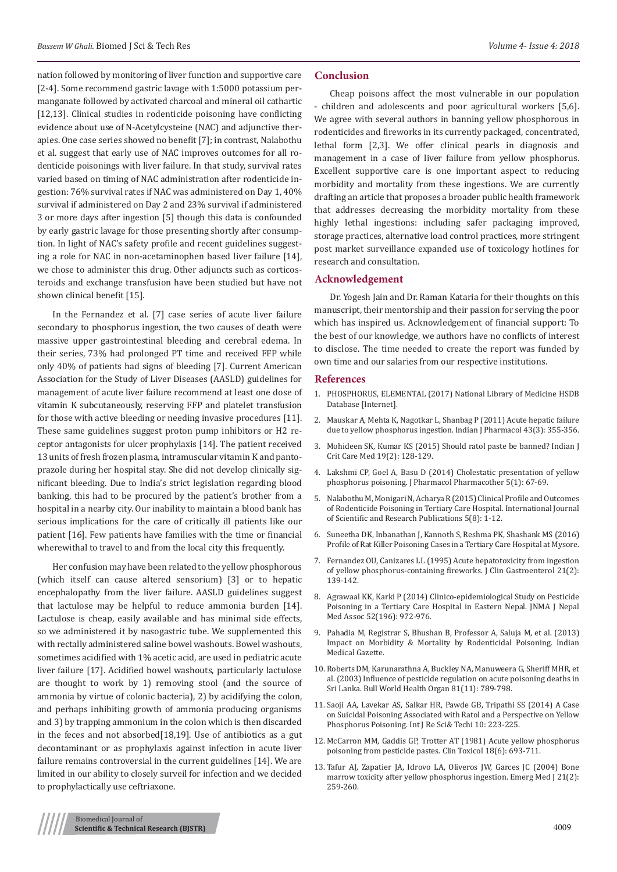nation followed by monitoring of liver function and supportive care [2-4]. Some recommend gastric lavage with 1:5000 potassium permanganate followed by activated charcoal and mineral oil cathartic [12,13]. Clinical studies in rodenticide poisoning have conflicting evidence about use of N-Acetylcysteine (NAC) and adjunctive therapies. One case series showed no benefit [7]; in contrast, Nalabothu et al. suggest that early use of NAC improves outcomes for all rodenticide poisonings with liver failure. In that study, survival rates varied based on timing of NAC administration after rodenticide ingestion: 76% survival rates if NAC was administered on Day 1, 40% survival if administered on Day 2 and 23% survival if administered 3 or more days after ingestion [5] though this data is confounded by early gastric lavage for those presenting shortly after consumption. In light of NAC's safety profile and recent guidelines suggesting a role for NAC in non-acetaminophen based liver failure [14], we chose to administer this drug. Other adjuncts such as corticosteroids and exchange transfusion have been studied but have not shown clinical benefit [15].

In the Fernandez et al. [7] case series of acute liver failure secondary to phosphorus ingestion, the two causes of death were massive upper gastrointestinal bleeding and cerebral edema. In their series, 73% had prolonged PT time and received FFP while only 40% of patients had signs of bleeding [7]. Current American Association for the Study of Liver Diseases (AASLD) guidelines for management of acute liver failure recommend at least one dose of vitamin K subcutaneously, reserving FFP and platelet transfusion for those with active bleeding or needing invasive procedures [11]. These same guidelines suggest proton pump inhibitors or H2 receptor antagonists for ulcer prophylaxis [14]. The patient received 13 units of fresh frozen plasma, intramuscular vitamin K and pantoprazole during her hospital stay. She did not develop clinically significant bleeding. Due to India's strict legislation regarding blood banking, this had to be procured by the patient's brother from a hospital in a nearby city. Our inability to maintain a blood bank has serious implications for the care of critically ill patients like our patient [16]. Few patients have families with the time or financial wherewithal to travel to and from the local city this frequently.

Her confusion may have been related to the yellow phosphorous (which itself can cause altered sensorium) [3] or to hepatic encephalopathy from the liver failure. AASLD guidelines suggest that lactulose may be helpful to reduce ammonia burden [14]. Lactulose is cheap, easily available and has minimal side effects, so we administered it by nasogastric tube. We supplemented this with rectally administered saline bowel washouts. Bowel washouts, sometimes acidified with 1% acetic acid, are used in pediatric acute liver failure [17]. Acidified bowel washouts, particularly lactulose are thought to work by 1) removing stool (and the source of ammonia by virtue of colonic bacteria), 2) by acidifying the colon, and perhaps inhibiting growth of ammonia producing organisms and 3) by trapping ammonium in the colon which is then discarded in the feces and not absorbed[18,19]. Use of antibiotics as a gut decontaminant or as prophylaxis against infection in acute liver failure remains controversial in the current guidelines [14]. We are limited in our ability to closely surveil for infection and we decided to prophylactically use ceftriaxone.

#### **Conclusion**

Cheap poisons affect the most vulnerable in our population - children and adolescents and poor agricultural workers [5,6]. We agree with several authors in banning yellow phosphorous in rodenticides and fireworks in its currently packaged, concentrated, lethal form [2,3]. We offer clinical pearls in diagnosis and management in a case of liver failure from yellow phosphorus. Excellent supportive care is one important aspect to reducing morbidity and mortality from these ingestions. We are currently drafting an article that proposes a broader public health framework that addresses decreasing the morbidity mortality from these highly lethal ingestions: including safer packaging improved, storage practices, alternative load control practices, more stringent post market surveillance expanded use of toxicology hotlines for research and consultation.

#### **Acknowledgement**

Dr. Yogesh Jain and Dr. Raman Kataria for their thoughts on this manuscript, their mentorship and their passion for serving the poor which has inspired us. Acknowledgement of financial support: To the best of our knowledge, we authors have no conflicts of interest to disclose. The time needed to create the report was funded by own time and our salaries from our respective institutions.

#### **References**

- 1. [PHOSPHORUS, ELEMENTAL \(2017\) National Library of Medicine HSDB](https://toxnet.nlm.nih.gov/cgi-bin/sis/search/a?dbs+hsdb:@term+@DOCNO+1169) [Database \[Internet\].](https://toxnet.nlm.nih.gov/cgi-bin/sis/search/a?dbs+hsdb:@term+@DOCNO+1169)
- 2. [Mauskar A, Mehta K, Nagotkar L, Shanbag P \(2011\) Acute hepatic failure](https://www.ncbi.nlm.nih.gov/pmc/articles/PMC3113395/) [due to yellow phosphorus ingestion. Indian J Pharmacol 43\(3\): 355-356.](https://www.ncbi.nlm.nih.gov/pmc/articles/PMC3113395/)
- 3. [Mohideen SK, Kumar KS \(2015\) Should ratol paste be banned? Indian J](https://www.ncbi.nlm.nih.gov/pmc/articles/PMC4339902/) [Crit Care Med 19\(2\): 128-129.](https://www.ncbi.nlm.nih.gov/pmc/articles/PMC4339902/)
- 4. [Lakshmi CP, Goel A, Basu D \(2014\) Cholestatic presentation of yellow](https://www.ncbi.nlm.nih.gov/pmc/articles/PMC3917172/) [phosphorus poisoning. J Pharmacol Pharmacother 5\(1\): 67-69.](https://www.ncbi.nlm.nih.gov/pmc/articles/PMC3917172/)
- 5. [Nalabothu M, Monigari N, Acharya R \(2015\) Clinical Profile and Outcomes](http://www.ijsrp.org/research-paper-0815.php?rp=P444403) [of Rodenticide Poisoning in Tertiary Care Hospital. International Journal](http://www.ijsrp.org/research-paper-0815.php?rp=P444403) [of Scientific and Research Publications 5\(8\): 1-12.](http://www.ijsrp.org/research-paper-0815.php?rp=P444403)
- 6. Suneetha DK, Inbanathan J, Kannoth S, Reshma PK, Shashank MS (2016) Profile of Rat Killer Poisoning Cases in a Tertiary Care Hospital at Mysore.
- 7. [Fernandez OU, Canizares LL \(1995\) Acute hepatotoxicity from ingestion](https://www.ncbi.nlm.nih.gov/pubmed/8583080) [of yellow phosphorus-containing fireworks. J Clin Gastroenterol 21\(2\):](https://www.ncbi.nlm.nih.gov/pubmed/8583080) [139-142.](https://www.ncbi.nlm.nih.gov/pubmed/8583080)
- 8. [Agrawaal KK, Karki P \(2014\) Clinico-epidemiological Study on Pesticide](https://www.ncbi.nlm.nih.gov/pubmed/26982894) [Poisoning in a Tertiary Care Hospital in Eastern Nepal. JNMA J Nepal](https://www.ncbi.nlm.nih.gov/pubmed/26982894) [Med Assoc 52\(196\): 972-976.](https://www.ncbi.nlm.nih.gov/pubmed/26982894)
- 9. [Pahadia M, Registrar S, Bhushan B, Professor A, Saluja M, et al. \(2013\)](http://medind.nic.in/ice/t13/i5/icet13i5p170.pdf) [Impact on Morbidity & Mortality by Rodenticidal Poisoning. Indian](http://medind.nic.in/ice/t13/i5/icet13i5p170.pdf) [Medical Gazette.](http://medind.nic.in/ice/t13/i5/icet13i5p170.pdf)
- 10. [Roberts DM, Karunarathna A, Buckley NA, Manuweera G, Sheriff MHR, et](https://www.ncbi.nlm.nih.gov/pmc/articles/PMC1693668/) [al. \(2003\) Influence of pesticide regulation on acute poisoning deaths in](https://www.ncbi.nlm.nih.gov/pmc/articles/PMC1693668/) [Sri Lanka. Bull World Health Organ 81\(11\): 789-798.](https://www.ncbi.nlm.nih.gov/pmc/articles/PMC1693668/)
- 11. [Saoji AA, Lavekar AS, Salkar HR, Pawde GB, Tripathi SS \(2014\) A Case](http://statperson.com/Journal/ScienceAndTechnology/Article/Volume10Issue2/10_2_9.pdf) [on Suicidal Poisoning Associated with Ratol and a Perspective on Yellow](http://statperson.com/Journal/ScienceAndTechnology/Article/Volume10Issue2/10_2_9.pdf) [Phosphorus Poisoning. Int J Re Sci& Techi 10: 223-225.](http://statperson.com/Journal/ScienceAndTechnology/Article/Volume10Issue2/10_2_9.pdf)
- 12. [McCarron MM, Gaddis GP, Trotter AT \(1981\) Acute yellow phosphorus](https://www.ncbi.nlm.nih.gov/pubmed/7273676) [poisoning from pesticide pastes. Clin Toxicol 18\(6\): 693-711.](https://www.ncbi.nlm.nih.gov/pubmed/7273676)
- 13. [Tafur AJ, Zapatier JA, Idrovo LA, Oliveros JW, Garces JC \(2004\) Bone](https://www.ncbi.nlm.nih.gov/pmc/articles/PMC1726254/) [marrow toxicity after yellow phosphorus ingestion. Emerg Med J 21\(2\):](https://www.ncbi.nlm.nih.gov/pmc/articles/PMC1726254/) [259-260.](https://www.ncbi.nlm.nih.gov/pmc/articles/PMC1726254/)